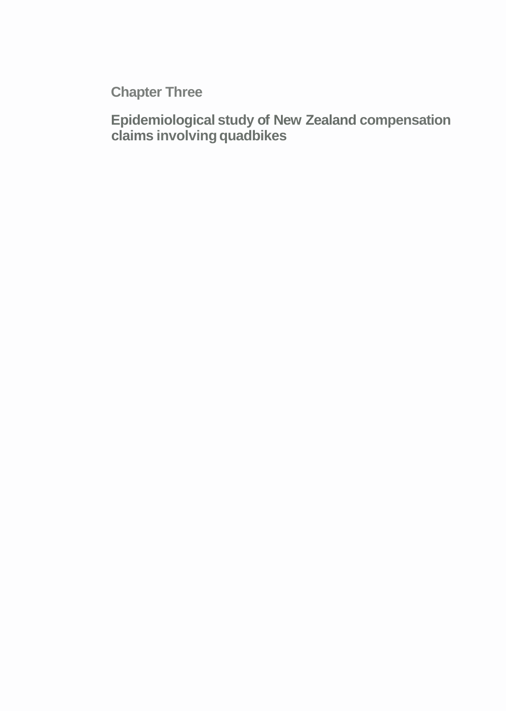**Chapter Three** 

**Epidemiological study of New Zealand compensation claims involving quadbikes**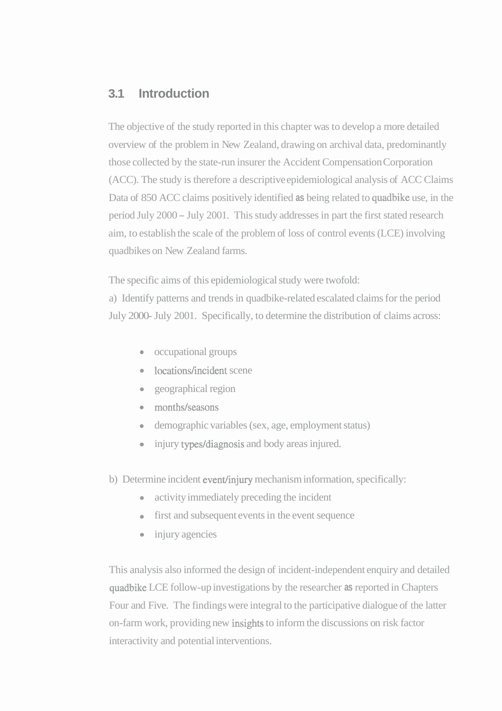# **3.1 Introduction**

The objective of the study reported in this chapter was to develop a more detailed overview of the problem in New Zealand, drawing on archival data, predominantly those collected by the state-run insurer the Accident Compensation Corporation (ACC). The study is therefore a descriptive epidemiological analysis of ACC Claims Data of 850 ACC claims positively identified **as** being related to quadbike use, in the period July 2000 - July 2001. This study addresses in part the first stated research aim, to establish the scale of the problem of loss of control events (LCE) involving quadbikes on New Zealand farms.

The specific aims of this epidemiological study were twofold:

a) Identify patterns and trends in quadbike-related escalated claims for the period July 2000- July 2001. Specifically, to determine the distribution of claims across:

- occupational groups
- locations/incident scene
- geographical region
- months/seasons
- demographic variables (sex, age, employment status)
- injury types/diagnosis and body areas injured.  $\bullet$
- b) Determine incident event/injury mechanism information, specifically:
	- activity immediately preceding the incident  $\bullet$
	- first and subsequent events in the event sequence
	- injury agencies  $\bullet$

This analysis also informed the design of incident-independent enquiry and detailed quadbike LCE follow-up investigations by the researcher **as** reported in Chapters Four and Five. The findings were integral to the participative dialogue of the latter on-farm work, providing new insights to inform the discussions on risk factor interactivity and potential interventions.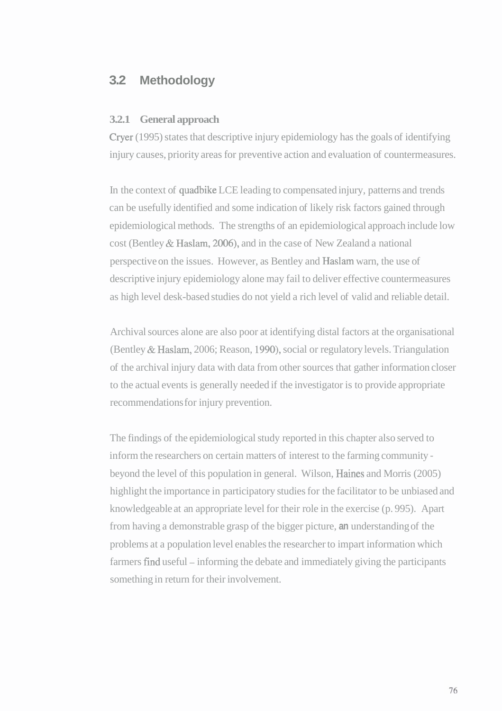# **3.2 Methodology**

#### **3.2.1 General approach**

Cryer (1995) states that descriptive injury epidemiology has the goals of identifying injury causes, priority areas for preventive action and evaluation of countermeasures.

In the context of quadbike LCE leading to compensated injury, patterns and trends can be usefully identified and some indication of likely risk factors gained through epidemiological methods. The strengths of an epidemiological approach include low cost (Bentley & Haslam, 2006), and in the case of New Zealand a national perspective on the issues. However, as Bentley and Haslam warn, the use of descriptive injury epidemiology alone may fail to deliver effective countermeasures as high level desk-based studies do not yield a rich level of valid and reliable detail.

Archival sources alone are also poor at identifying distal factors at the organisational (Bentley & Haslam, 2006; Reason, 1990), social or regulatory levels. Triangulation of the archival injury data with data from other sources that gather information closer to the actual events is generally needed if the investigator is to provide appropriate recommendations for injury prevention.

The findings of the epidemiological study reported in this chapter also served to inform the researchers on certain matters of interest to the farming community beyond the level of this population in general. Wilson, Haines and Morris (2005) highlight the importance in participatory studies for the facilitator to be unbiased and knowledgeable at an appropriate level for their role in the exercise (p. 995). Apart from having a demonstrable grasp of the bigger picture, **an** understanding of the problems at a population level enables the researcher to impart information which farmers find useful – informing the debate and immediately giving the participants something in return for their involvement.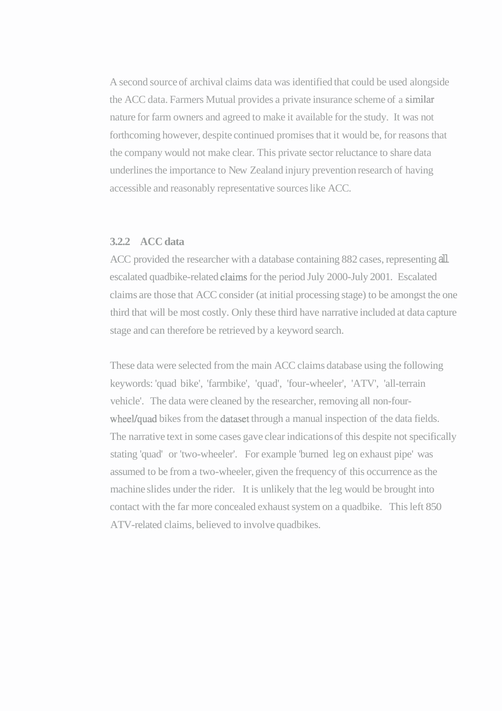A second source of archival claims data was identified that could be used alongside the ACC data. Farmers Mutual provides a private insurance scheme of a similar nature for farm owners and agreed to make it available for the study. It was not forthcoming however, despite continued promises that it would be, for reasons that the company would not make clear. This private sector reluctance to share data underlines the importance to New Zealand injury prevention research of having accessible and reasonably representative sources like ACC.

## **3.2.2 ACC data**

ACC provided the researcher with a database containing 882 cases, representing all escalated quadbike-related claims for the period July 2000-July 2001. Escalated claims are those that ACC consider (at initial processing stage) to be amongst the one third that will be most costly. Only these third have narrative included at data capture stage and can therefore be retrieved by a keyword search.

These data were selected from the main ACC claims database using the following keywords: 'quad bike', 'farmbike', 'quad', 'four-wheeler', 'ATV', 'all-terrain vehicle'. The data were cleaned by the researcher, removing all non-fourwheel/quad bikes from the dataset through a manual inspection of the data fields. The narrative text in some cases gave clear indications of this despite not specifically stating 'quad' or 'two-wheeler'. For example 'burned leg on exhaust pipe' was assumed to be from a two-wheeler, given the frequency of this occurrence as the machine slides under the rider. It is unlikely that the leg would be brought into contact with the far more concealed exhaust system on a quadbike. This left 850 ATV-related claims, believed to involve quadbikes.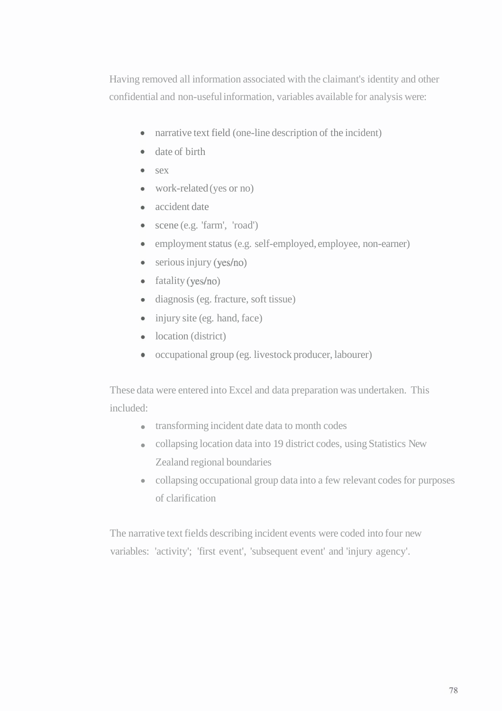Having removed all information associated with the claimant's identity and other confidential and non-useful information, variables available for analysis were:

- narrative text field (one-line description of the incident)
- date of birth
- $s$ ex
- work-related (yes or no)
- accident date
- scene (e.g. 'farm', 'road')
- employment status (e.g. self-employed, employee, non-earner)
- $\bullet$  serious injury (yes/no)
- fatality (yes/no)
- diagnosis (eg. fracture, soft tissue)
- $\bullet$  injury site (eg. hand, face)
- location (district)
- occupational group (eg. livestock producer, labourer)

These data were entered into Excel and data preparation was undertaken. This included:

- transforming incident date data to month codes
- collapsing location data into 19 district codes, using Statistics New Zealand regional boundaries
- collapsing occupational group data into a few relevant codes for purposes of clarification

The narrative text fields describing incident events were coded into four new variables: 'activity'; 'first event', 'subsequent event' and 'injury agency'.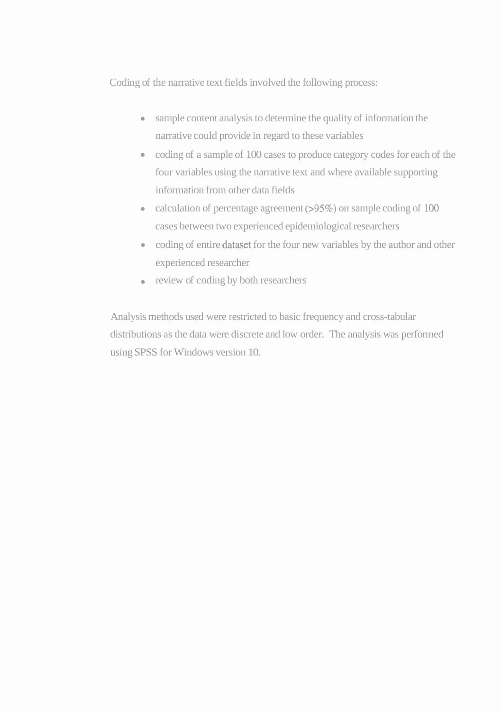Coding of the narrative text fields involved the following process:

- sample content analysis to determine the quality of information the narrative could provide in regard to these variables
- coding of a sample of 100 cases to produce category codes for each of the four variables using the narrative text and where available supporting information from other data fields
- calculation of percentage agreement (>95%) on sample coding of 100 cases between two experienced epidemiological researchers
- coding of entire dataset for the four new variables by the author and other experienced researcher
- review of coding by both researchers

Analysis methods used were restricted to basic frequency and cross-tabular distributions as the data were discrete and low order. The analysis was performed using SPSS for Windows version 10.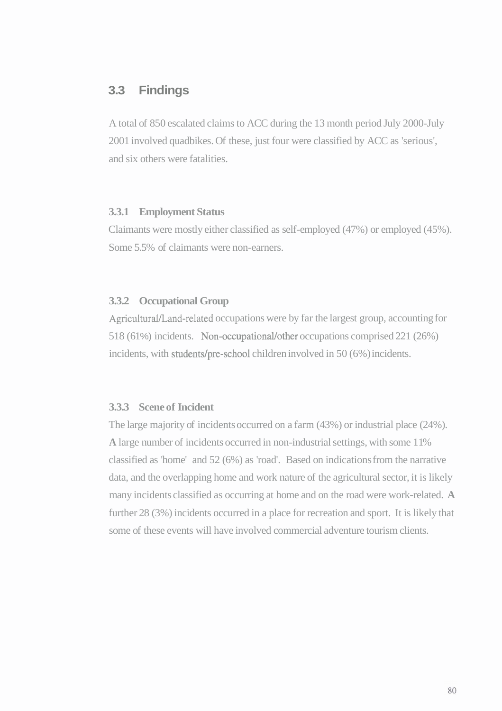# **3.3 Findings**

A total of 850 escalated claims to ACC during the 13 month period July 2000-July 2001 involved quadbikes. Of these, just four were classified by ACC as 'serious', and six others were fatalities.

## **3.3.1 Employment Status**

Claimants were mostly either classified as self-employed (47%) or employed (45%). Some 5.5% of claimants were non-earners.

## **3.3.2 Occupational Group**

Agricultural/Land-related occupations were by far the largest group, accounting for 518 (61%) incidents. Non-occupational/other occupations comprised 221 (26%) incidents, with students/pre-school children involved in 50 (6%) incidents.

## **3.3.3 Scene of Incident**

The large majority of incidents occurred on a farm (43%) or industrial place (24%). **A** large number of incidents occurred in non-industrial settings, with some 1 1% classified as 'home' and 52 (6%) as 'road'. Based on indications from the narrative data, and the overlapping home and work nature of the agricultural sector, it is likely many incidents classified as occurring at home and on the road were work-related. **A**  further 28 (3%) incidents occurred in a place for recreation and sport. It is likely that some of these events will have involved commercial adventure tourism clients.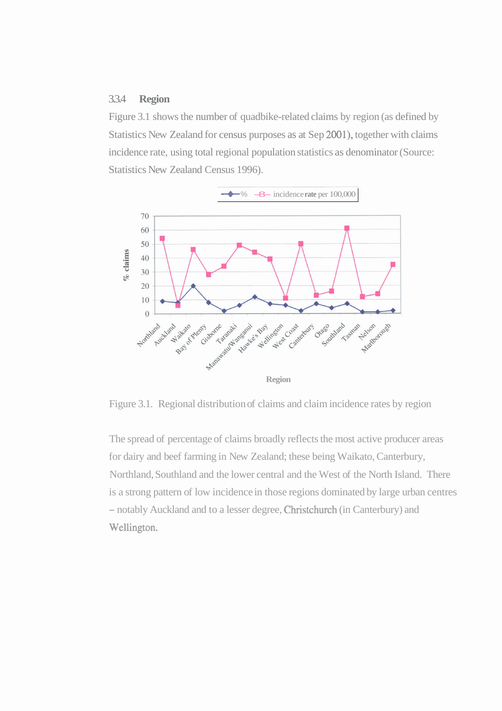#### 3.3.4 **Region**

Figure 3.1 shows the number of quadbike-related claims by region (as defined by Statistics New Zealand for census purposes as at Sep 2001), together with claims incidence rate, using total regional population statistics as denominator (Source: Statistics New Zealand Census 1996).



Figure 3.1. Regional distribution of claims and claim incidence rates by region

The spread of percentage of claims broadly reflects the most active producer areas for dairy and beef farming in New Zealand; these being Waikato, Canterbury, Northland, Southland and the lower central and the West of the North Island. There is a strong pattern of low incidence in those regions dominated by large urban centres - notably Auckland and to a lesser degree, Christchurch (in Canterbury) and Wellington.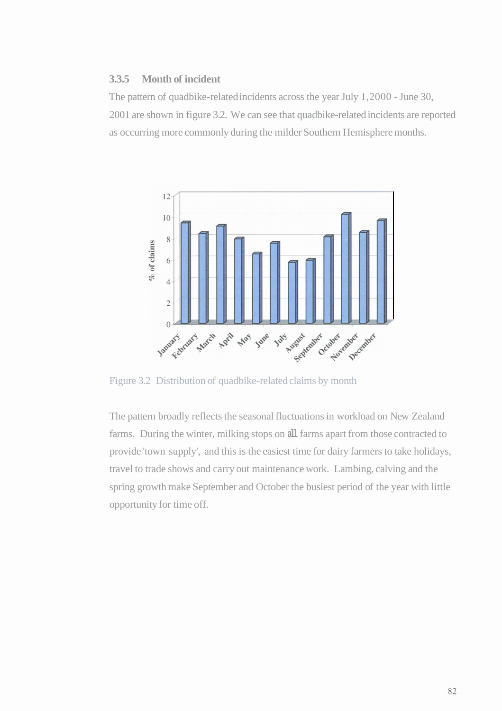## **3.3.5 Month of incident**

The pattern of quadbike-related incidents across the year July 1,2000 - June 30, 2001 are shown in figure 3.2. We can see that quadbike-related incidents are reported as occurring more commonly during the milder Southern Hemisphere months.



Figure 3.2 Distribution of quadbike-related claims by month

The pattern broadly reflects the seasonal fluctuations in workload on New Zealand farms. During the winter, milking stops on **all** farms apart from those contracted to provide 'town supply', and this is the easiest time for dairy farmers to take holidays, travel to trade shows and carry out maintenance work. Lambing, calving and the spring growth make September and October the busiest period of the year with little opportunity for time off.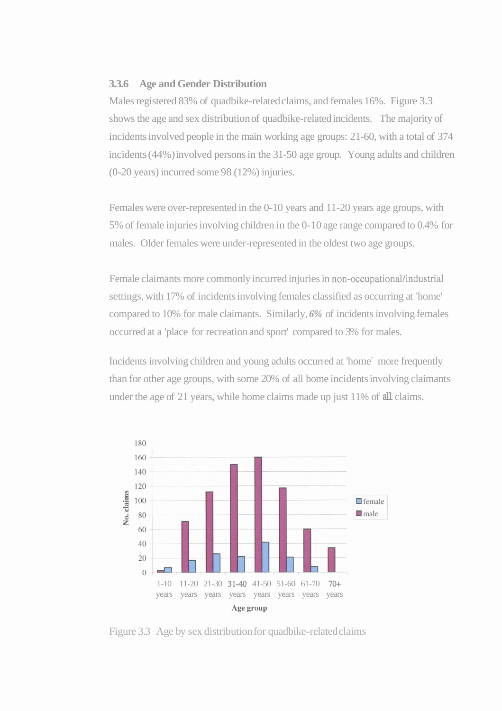#### **3.3.6 Age and Gender Distribution**

Males registered 83% of quadbike-related claims, and females 16%. Figure 3.3 shows the age and sex distribution of quadbike-related incidents. The majority of incidents involved people in the main working age groups: 21-60, with a total of 374 incidents (44%) involved persons in the 31-50 age group. Young adults and children (0-20 years) incurred some 98 (12%) injuries.

Females were over-represented in the 0-10 years and 11-20 years age groups, with 5% of female injuries involving children in the 0-10 age range compared to 0.4% for males. Older females were under-represented in the oldest two age groups.

Female claimants more commonly incurred injuries in non-occupational/industrial settings, with 17% of incidents involving females classified as occurring at 'home' compared to 10% for male claimants. Similarly, *6%* of incidents involving females occurred at a 'place for recreation and sport' compared to 3% for males.

Incidents involving children and young adults occurred at 'home' more frequently than for other age groups, with some 20% of all home incidents involving claimants under the age of 21 years, while home claims made up just 11 % of **all** claims.



Figure 3.3 Age by sex distribution for quadbike-related claims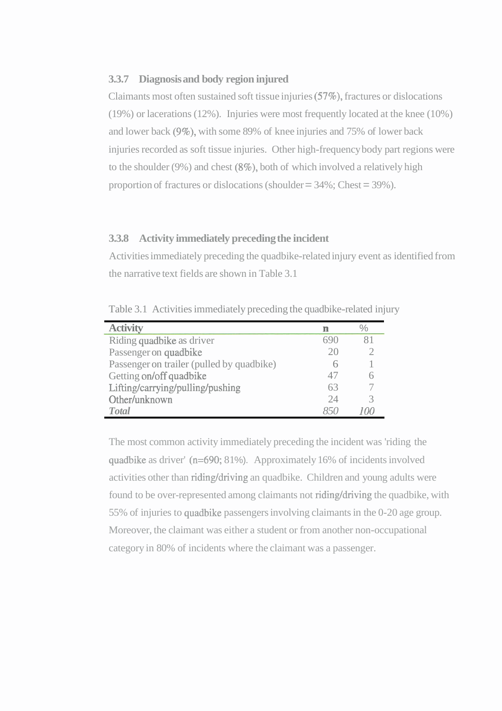#### **3.3.7 Diagnosis and body region injured**

Claimants most often sustained soft tissue injuries (57%), fractures or dislocations (19%) or lacerations (12%). Injuries were most frequently located at the knee (10%) and lower back (9%), with some 89% of knee injuries and 75% of lower back injuries recorded as soft tissue injuries. Other high-frequency body part regions were to the shoulder (9%) and chest  $(8\%)$ , both of which involved a relatively high proportion of fractures or dislocations (shoulder  $=$  34%; Chest  $=$  39%).

## **3.3.8 Activity immediately preceding the incident**

Activities immediately preceding the quadbike-related injury event as identified from the narrative text fields are shown in Table 3.1

| <b>Activity</b>                           |    |  |
|-------------------------------------------|----|--|
| Riding quadbike as driver                 |    |  |
| Passenger on quadbike                     |    |  |
| Passenger on trailer (pulled by quadbike) |    |  |
| Getting on/off quadbike                   | 47 |  |
| Lifting/carrying/pulling/pushing          | 63 |  |
| Other/unknown                             | 24 |  |
| <b>T</b> otal                             |    |  |

Table 3.1 Activities immediately preceding the quadbike-related injury

The most common activity immediately preceding the incident was 'riding the quadbike as driver' (n=690; 81%). Approximately 16% of incidents involved activities other than riding/driving an quadbike. Children and young adults were found to be over-represented among claimants not riding/driving the quadbike, with 55% of injuries to quadbike passengers involving claimants in the 0-20 age group. Moreover, the claimant was either a student or from another non-occupational category in 80% of incidents where the claimant was a passenger.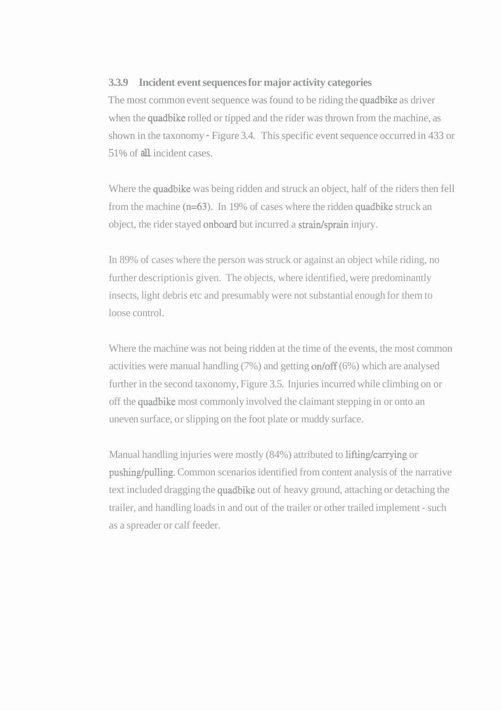## **3.3.9 Incident event sequences for major activity categories**

The most common event sequence was found to be riding the quadbike as driver when the quadbike rolled or tipped and the rider was thrown from the machine, as shown in the taxonomy - Figure 3.4. This specific event sequence occurred in 433 or 5 1 % of **all** incident cases.

Where the quadbike was being ridden and struck an object, half of the riders then fell from the machine (n=63). In 19% of cases where the ridden quadbike struck an object, the rider stayed onboard but incurred a strain/sprain injury.

In 89% of cases where the person was struck or against an object while riding, no further description is given. The objects, where identified, were predominantly insects, light debris etc and presumably were not substantial enough for them to loose control.

Where the machine was not being ridden at the time of the events, the most common activities were manual handling (7%) and getting on/off (6%) which are analysed further in the second taxonomy, Figure 3.5. Injuries incurred while climbing on or off the quadbike most commonly involved the claimant stepping in or onto an uneven surface, or slipping on the foot plate or muddy surface.

Manual handling injuries were mostly (84%) attributed to lifting/carrying or pushing/pulling. Common scenarios identified from content analysis of the narrative text included dragging the quadbike out of heavy ground, attaching or detaching the trailer, and handling loads in and out of the trailer or other trailed implement - such as a spreader or calf feeder.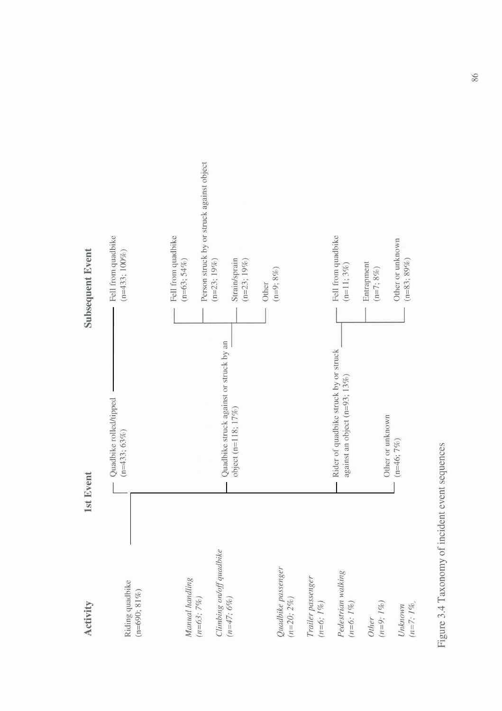

Figure 3.4 Taxonomy of incident event sequences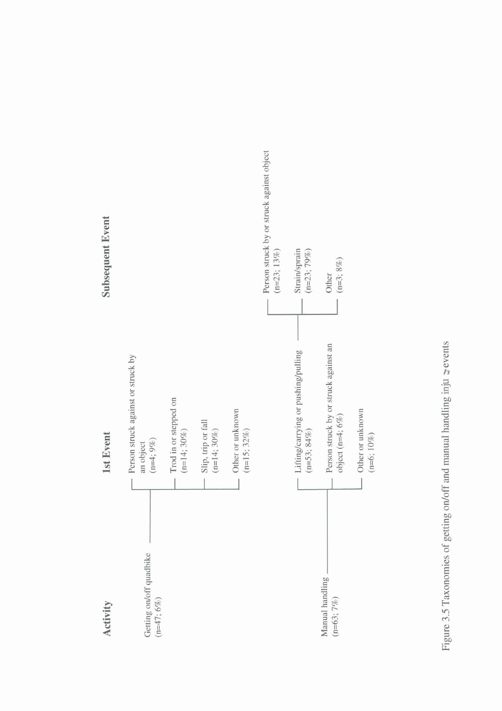

 $h$  $\equiv$  $\overline{a}$  .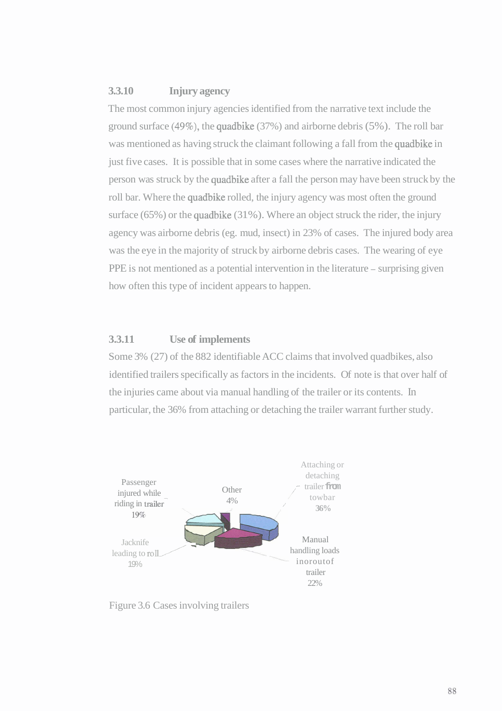## **3.3.10 Injury agency**

The most common injury agencies identified from the narrative text include the ground surface **(49%),** the quadbike (37%) and airborne debris (5%). The roll bar was mentioned as having struck the claimant following a fall from the quadbike in just five cases. It is possible that in some cases where the narrative indicated the person was struck by the quadbike after a fall the person may have been struck by the roll bar. Where the quadbike rolled, the injury agency was most often the ground surface  $(65\%)$  or the quadbike  $(31\%)$ . Where an object struck the rider, the injury agency was airborne debris (eg. mud, insect) in 23% of cases. The injured body area was the eye in the majority of struck by airborne debris cases. The wearing of eye PPE is not mentioned as a potential intervention in the literature – surprising given how often this type of incident appears to happen.

## **3.3.11 Use of implements**

Some 3% (27) of the 882 identifiable ACC claims that involved quadbikes, also identified trailers specifically as factors in the incidents. Of note is that over half of the injuries came about via manual handling of the trailer or its contents. In particular, the 36% from attaching or detaching the trailer warrant further study.



Figure 3.6 Cases involving trailers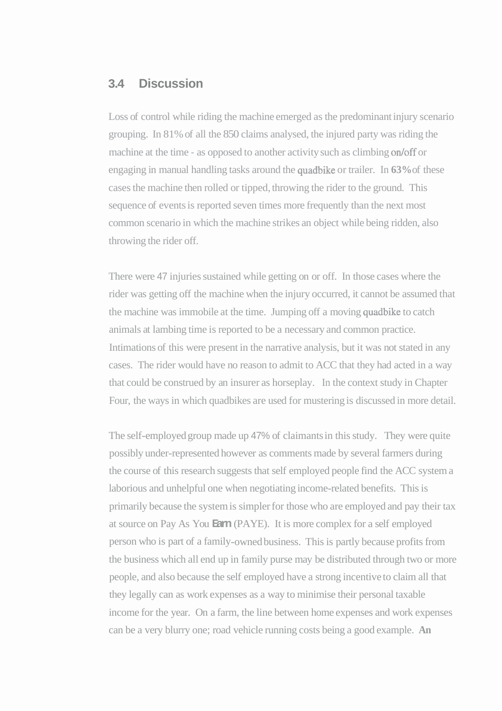## **3.4 Discussion**

Loss of control while riding the machine emerged as the predominant injury scenario grouping. In 81% of all the 850 claims analysed, the injured party was riding the machine at the time - as opposed to another activity such as climbing on/off or engaging in manual handling tasks around the quadbike or trailer. In **63%** of these cases the machine then rolled or tipped, throwing the rider to the ground. This sequence of events is reported seven times more frequently than the next most common scenario in which the machine strikes an object while being ridden, also throwing the rider off.

There were 47 injuries sustained while getting on or off. In those cases where the rider was getting off the machine when the injury occurred, it cannot be assumed that the machine was immobile at the time. Jumping off a moving quadbike to catch animals at lambing time is reported to be a necessary and common practice. Intimations of this were present in the narrative analysis, but it was not stated in any cases. The rider would have no reason to admit to ACC that they had acted in a way that could be construed by an insurer as horseplay. In the context study in Chapter Four, the ways in which quadbikes are used for mustering is discussed in more detail.

The self-employed group made up 47% of claimants in this study. They were quite possibly under-represented however as comments made by several farmers during the course of this research suggests that self employed people find the ACC system a laborious and unhelpful one when negotiating income-related benefits. This is primarily because the system is simpler for those who are employed and pay their tax at source on Pay As You **Earn** (PAYE). It is more complex for a self employed person who is part of a family-owned business. This is partly because profits from the business which all end up in family purse may be distributed through two or more people, and also because the self employed have a strong incentive to claim all that they legally can as work expenses as a way to minimise their personal taxable income for the year. On a farm, the line between home expenses and work expenses can be a very blurry one; road vehicle running costs being a good example. **An**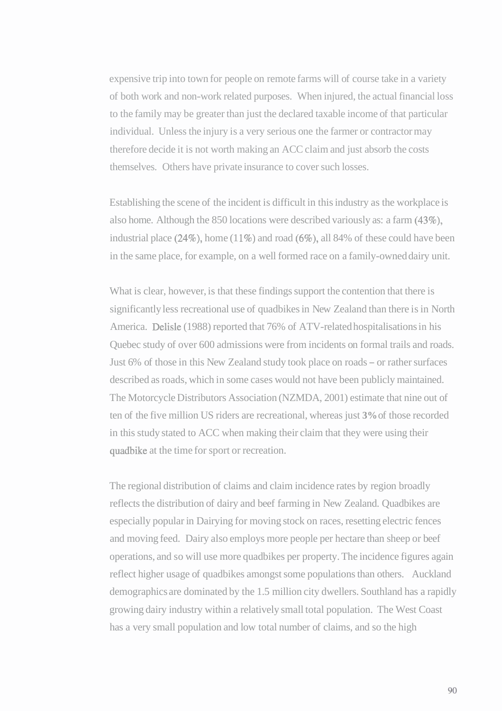expensive trip into town for people on remote farms will of course take in a variety of both work and non-work related purposes. When injured, the actual financial loss to the family may be greater than just the declared taxable income of that particular individual. Unless the injury is a very serious one the farmer or contractor may therefore decide it is not worth making an ACC claim and just absorb the costs themselves. Others have private insurance to cover such losses.

Establishing the scene of the incident is difficult in this industry as the workplace is also home. Although the 850 locations were described variously as: a farm (43%), industrial place  $(24\%)$ , home  $(11\%)$  and road  $(6\%)$ , all 84% of these could have been in the same place, for example, on a well formed race on a family-owned dairy unit.

What is clear, however, is that these findings support the contention that there is significantly less recreational use of quadbikes in New Zealand than there is in North America. Delisle (1988) reported that 76% of ATV-related hospitalisations in his Quebec study of over 600 admissions were from incidents on formal trails and roads. Just 6% of those in this New Zealand study took place on roads - or rather surfaces described as roads, which in some cases would not have been publicly maintained. The Motorcycle Distributors Association (NZMDA, 2001) estimate that nine out of ten of the five million US riders are recreational, whereas just **3%** of those recorded in this study stated to ACC when making their claim that they were using their quadbike at the time for sport or recreation.

The regional distribution of claims and claim incidence rates by region broadly reflects the distribution of dairy and beef farming in New Zealand. Quadbikes are especially popular in Dairying for moving stock on races, resetting electric fences and moving feed. Dairy also employs more people per hectare than sheep or beef operations, and so will use more quadbikes per property. The incidence figures again reflect higher usage of quadbikes amongst some populations than others. Auckland demographics are dominated by the 1.5 million city dwellers. Southland has a rapidly growing dairy industry within a relatively small total population. The West Coast has a very small population and low total number of claims, and so the high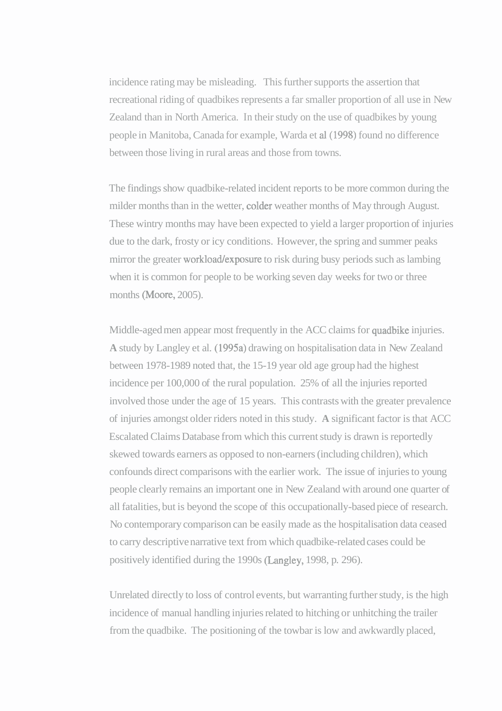incidence rating may be misleading. This further supports the assertion that recreational riding of quadbikes represents a far smaller proportion of all use in New Zealand than in North America. In their study on the use of quadbikes by young people in Manitoba, Canada for example, Warda et al (1998) found no difference between those living in rural areas and those from towns.

The findings show quadbike-related incident reports to be more common during the milder months than in the wetter, colder weather months of May through August. These wintry months may have been expected to yield a larger proportion of injuries due to the dark, frosty or icy conditions. However, the spring and summer peaks mirror the greater workload/exposure to risk during busy periods such as lambing when it is common for people to be working seven day weeks for two or three months (Moore, 2005).

Middle-aged men appear most frequently in the ACC claims for quadbike injuries. **A** study by Langley et al. (1995a) drawing on hospitalisation data in New Zealand between 1978-1989 noted that, the 15-19 year old age group had the highest incidence per 100,000 of the rural population. 25% of all the injuries reported involved those under the age of 15 years. This contrasts with the greater prevalence of injuries amongst older riders noted in this study. **A** significant factor is that ACC Escalated Claims Database from which this current study is drawn is reportedly skewed towards earners as opposed to non-earners (including children), which confounds direct comparisons with the earlier work. The issue of injuries to young people clearly remains an important one in New Zealand with around one quarter of all fatalities, but is beyond the scope of this occupationally-based piece of research. No contemporary comparison can be easily made as the hospitalisation data ceased to carry descriptive narrative text from which quadbike-related cases could be positively identified during the 1990s (Langley, 1998, p. 296).

Unrelated directly to loss of control events, but warranting further study, is the high incidence of manual handling injuries related to hitching or unhitching the trailer from the quadbike. The positioning of the towbar is low and awkwardly placed,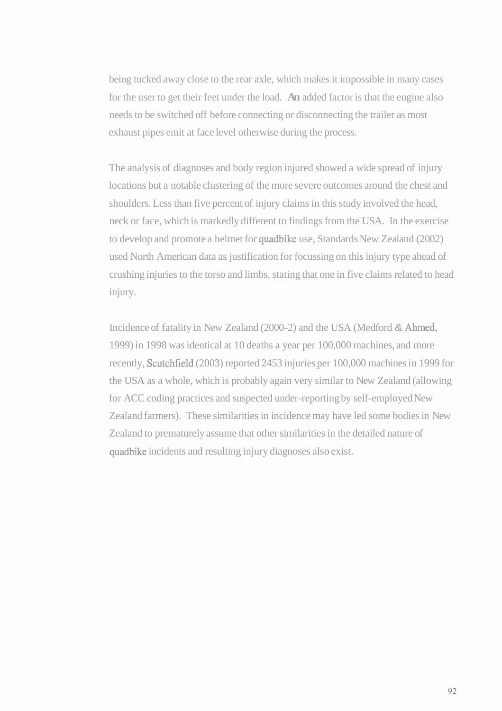being tucked away close to the rear axle, which makes it impossible in many cases for the user to get their feet under the load. **An** added factor is that the engine also needs to be switched off before connecting or disconnecting the trailer as most exhaust pipes emit at face level otherwise during the process.

The analysis of diagnoses and body region injured showed a wide spread of injury locations but a notable clustering of the more severe outcomes around the chest and shoulders. Less than five percent of injury claims in this study involved the head, neck or face, which is markedly different to findings from the USA. In the exercise to develop and promote a helmet for quadbike use, Standards New Zealand (2002) used North American data as justification for focussing on this injury type ahead of crushing injuries to the torso and limbs, stating that one in five claims related to head injury.

Incidence of fatality in New Zealand (2000-2) and the USA (Medford & Ahmed, 1999) in 1998 was identical at 10 deaths a year per 100,000 machines, and more recently, Scutchfield (2003) reported 2453 injuries per 100,000 machines in 1999 for the USA as a whole, which is probably again very similar to New Zealand (allowing for ACC coding practices and suspected under-reporting by self-employed New Zealand farmers). These similarities in incidence may have led some bodies in New Zealand to prematurely assume that other similarities in the detailed nature of quadbike incidents and resulting injury diagnoses also exist.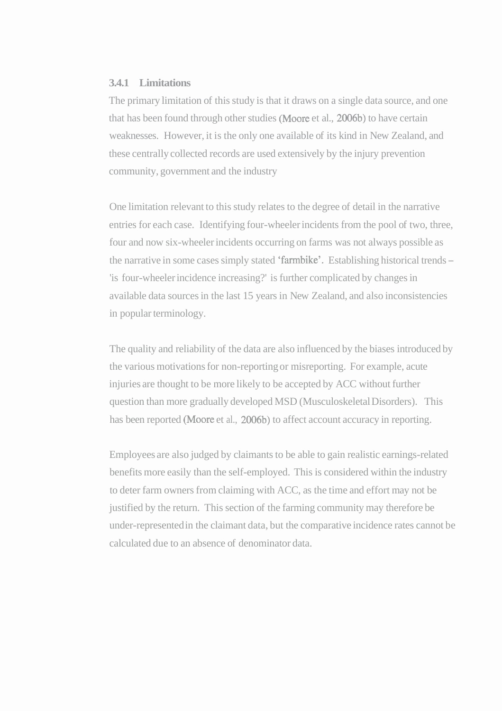#### **3.4.1 Limitations**

The primary limitation of this study is that it draws on a single data source, and one that has been found through other studies (Moore et al., 2006b) to have certain weaknesses. However, it is the only one available of its kind in New Zealand, and these centrally collected records are used extensively by the injury prevention community, government and the industry

One limitation relevant to this study relates to the degree of detail in the narrative entries for each case. Identifying four-wheeler incidents from the pool of two, three, four and now six-wheeler incidents occurring on farms was not always possible as the narrative in some cases simply stated 'farmbike'. Establishing historical trends - 'is four-wheeler incidence increasing?' is further complicated by changes in available data sources in the last 15 years in New Zealand, and also inconsistencies in popular terminology.

The quality and reliability of the data are also influenced by the biases introduced by the various motivations for non-reporting or misreporting. For example, acute injuries are thought to be more likely to be accepted by ACC without further question than more gradually developed MSD (Musculoskeletal Disorders). This has been reported (Moore et al., 2006b) to affect account accuracy in reporting.

Employees are also judged by claimants to be able to gain realistic earnings-related benefits more easily than the self-employed. This is considered within the industry to deter farm owners from claiming with ACC, as the time and effort may not be justified by the return. This section of the farming community may therefore be under-represented in the claimant data, but the comparative incidence rates cannot be calculated due to an absence of denominator data.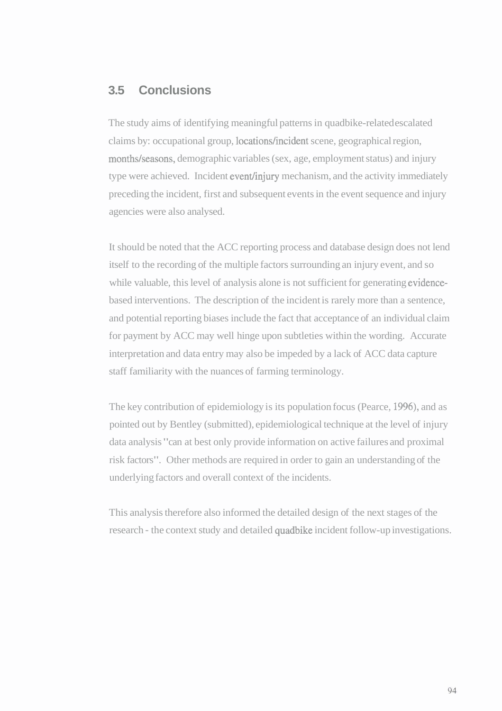## **3.5 Conclusions**

The study aims of identifying meaningful patterns in quadbike-related escalated claims by: occupational group, locations/incident scene, geographical region, months/seasons, demographic variables (sex, age, employment status) and injury type were achieved. Incident event/injury mechanism, and the activity immediately preceding the incident, first and subsequent events in the event sequence and injury agencies were also analysed.

It should be noted that the ACC reporting process and database design does not lend itself to the recording of the multiple factors surrounding an injury event, and so while valuable, this level of analysis alone is not sufficient for generating evidencebased interventions. The description of the incident is rarely more than a sentence, and potential reporting biases include the fact that acceptance of an individual claim for payment by ACC may well hinge upon subtleties within the wording. Accurate interpretation and data entry may also be impeded by a lack of ACC data capture staff familiarity with the nuances of farming terminology.

The key contribution of epidemiology is its population focus (Pearce, 1996), and as pointed out by Bentley (submitted), epidemiological technique at the level of injury data analysis "can at best only provide information on active failures and proximal risk factors". Other methods are required in order to gain an understanding of the underlying factors and overall context of the incidents.

This analysis therefore also informed the detailed design of the next stages of the research - the context study and detailed quadbike incident follow-up investigations.